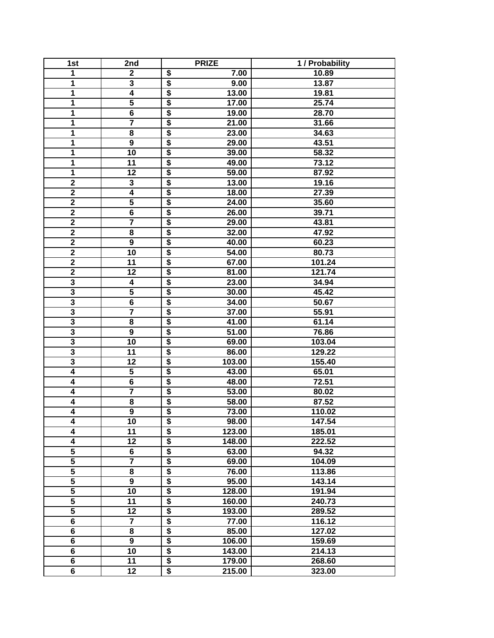| 1st                     | 2nd                     | <b>PRIZE</b>                                               | 1 / Probability |
|-------------------------|-------------------------|------------------------------------------------------------|-----------------|
| 1                       | $\boldsymbol{2}$        | $\overline{\boldsymbol{\mathsf{s}}}$<br>7.00               | 10.89           |
| 1                       | 3                       | $\overline{\boldsymbol{\mathsf{s}}}$<br>9.00               | 13.87           |
| $\overline{\mathbf{1}}$ | $\overline{4}$          | $\overline{\boldsymbol{\mathsf{s}}}$<br>13.00              | 19.81           |
| $\overline{\mathbf{1}}$ | $\overline{\mathbf{5}}$ | $\overline{\$}$<br>17.00                                   | 25.74           |
| $\overline{\mathbf{1}}$ | $\overline{6}$          | $\overline{\$}$<br>19.00                                   | 28.70           |
| $\overline{\mathbf{1}}$ | $\overline{\mathbf{7}}$ | $\overline{\$}$<br>21.00                                   | 31.66           |
| 1                       | 8                       | $\overline{\boldsymbol{\mathsf{s}}}$<br>23.00              | 34.63           |
| 1                       | 9                       | $\overline{\boldsymbol{\mathsf{s}}}$<br>29.00              | 43.51           |
| 1                       | 10                      | $\overline{\boldsymbol{\mathsf{s}}}$<br>39.00              | 58.32           |
| 1                       | 11                      | $\overline{\boldsymbol{\mathsf{s}}}$<br>49.00              | 73.12           |
| 1                       | 12                      | $\overline{\boldsymbol{\mathfrak{s}}}$<br>59.00            | 87.92           |
| $\overline{\mathbf{2}}$ | 3                       | $\overline{\boldsymbol{\mathfrak{s}}}$<br>13.00            | 19.16           |
| $\overline{2}$          | $\overline{\mathbf{4}}$ | $\overline{\boldsymbol{\mathsf{s}}}$<br>18.00              | 27.39           |
| $\overline{2}$          | $\overline{\mathbf{5}}$ | $\overline{\boldsymbol{\mathfrak{s}}}$<br>24.00            | 35.60           |
| $\overline{\mathbf{2}}$ | 6                       | $\overline{\boldsymbol{\mathfrak{s}}}$<br>26.00            | 39.71           |
| $\mathbf 2$             | $\overline{7}$          | $\overline{\boldsymbol{\mathfrak{s}}}$<br>29.00            | 43.81           |
| $\overline{2}$          | 8                       | $\overline{\boldsymbol{\mathsf{s}}}$<br>32.00              | 47.92           |
| $\overline{2}$          | $\overline{9}$          | $\overline{\$}$<br>40.00                                   | 60.23           |
| $\overline{2}$          | 10                      | $\overline{\boldsymbol{\mathsf{s}}}$<br>54.00              | 80.73           |
| $\overline{\mathbf{2}}$ | 11                      | $\overline{\boldsymbol{\mathsf{s}}}$<br>67.00              | 101.24          |
| $\overline{\mathbf{2}}$ | 12                      | $\overline{\boldsymbol{\mathsf{s}}}$<br>81.00              | 121.74          |
| $\overline{\mathbf{3}}$ | 4                       | $\overline{\boldsymbol{\mathsf{s}}}$<br>23.00              | 34.94           |
| $\overline{\mathbf{3}}$ | 5                       | $\overline{\boldsymbol{\mathsf{s}}}$<br>30.00              | 45.42           |
| $\overline{\mathbf{3}}$ | 6                       | $\overline{\boldsymbol{\mathsf{s}}}$<br>34.00              | 50.67           |
| $\overline{\mathbf{3}}$ | $\overline{7}$          | $\overline{\boldsymbol{\mathsf{s}}}$<br>37.00              | 55.91           |
| $\overline{\mathbf{3}}$ | 8                       | $\overline{\boldsymbol{\mathsf{s}}}$<br>41.00              | 61.14           |
| $\overline{\mathbf{3}}$ | 9                       | $\overline{\boldsymbol{\mathfrak{s}}}$<br>51.00            | 76.86           |
| $\overline{\mathbf{3}}$ | $\overline{10}$         | $\overline{\boldsymbol{\mathsf{s}}}$<br>69.00              | 103.04          |
| $\overline{\mathbf{3}}$ | 11                      | $\overline{\$}$<br>86.00                                   | 129.22          |
| $\overline{\mathbf{3}}$ | $\overline{12}$         | $\overline{\$}$<br>103.00                                  | 155.40          |
| $\overline{4}$          | $\overline{\mathbf{5}}$ | $\overline{\$}$<br>43.00                                   | 65.01           |
| $\overline{\mathbf{4}}$ | 6                       | $\overline{\boldsymbol{\mathsf{s}}}$<br>48.00              | 72.51           |
| $\overline{\mathbf{4}}$ | $\overline{7}$          | $\overline{\boldsymbol{\mathsf{s}}}$<br>$\overline{53.00}$ | 80.02           |
| $\overline{4}$          | 8                       | $\overline{\boldsymbol{\mathsf{s}}}$<br>58.00              | 87.52           |
| $\overline{\mathbf{4}}$ | $\overline{9}$          | $\overline{\boldsymbol{\mathsf{s}}}$<br>73.00              | 110.02          |
| 4                       | $\overline{10}$         | $\overline{\boldsymbol{\mathsf{s}}}$<br>98.00              | 147.54          |
| $\overline{\mathbf{4}}$ | 11                      | $\overline{\bullet}$<br>123.00                             | 185.01          |
| 4                       | 12                      | \$<br>148.00                                               | 222.52          |
| $\overline{\mathbf{5}}$ | 6                       | $\overline{\boldsymbol{\mathsf{s}}}$<br>63.00              | 94.32           |
| $\overline{\mathbf{5}}$ | $\overline{7}$          | \$<br>69.00                                                | 104.09          |
| $\overline{\mathbf{5}}$ | 8                       | $\overline{\boldsymbol{\mathsf{s}}}$<br>76.00              | 113.86          |
| $\overline{5}$          | 9                       | $\overline{\boldsymbol{\mathsf{s}}}$<br>95.00              | 143.14          |
| $\overline{\mathbf{5}}$ | 10                      | $\overline{\boldsymbol{\mathsf{s}}}$<br>128.00             | 191.94          |
| $\overline{\mathbf{5}}$ | 11                      | $\overline{\boldsymbol{\mathsf{s}}}$<br>160.00             | 240.73          |
| $\overline{\mathbf{5}}$ | 12                      | $\overline{\boldsymbol{\mathsf{s}}}$<br>193.00             | 289.52          |
| 6                       | $\overline{7}$          | $\overline{\boldsymbol{\mathsf{s}}}$<br>77.00              | 116.12          |
| $\overline{\mathbf{6}}$ | 8                       | $\overline{\$}$<br>85.00                                   | 127.02          |
| 6                       | 9                       | $\overline{\boldsymbol{\mathsf{s}}}$<br>106.00             | 159.69          |
| 6                       | 10                      | $\overline{\boldsymbol{\mathsf{s}}}$<br>143.00             | 214.13          |
| $\overline{\mathbf{6}}$ | 11                      | $\overline{\$}$<br>179.00                                  | 268.60          |
| $\overline{\mathbf{6}}$ | 12                      | $\overline{\boldsymbol{\mathsf{s}}}$<br>215.00             | 323.00          |